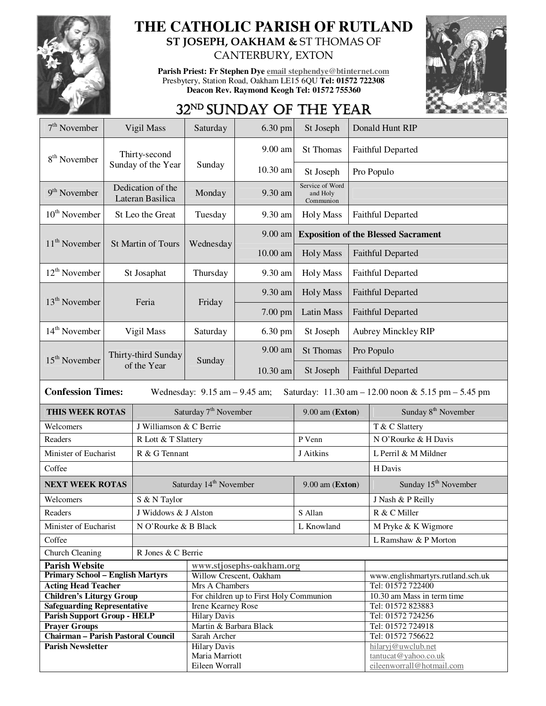

## **THE CATHOLIC PARISH OF RUTLAND ST JOSEPH, OAKHAM &** ST THOMAS OF

CANTERBURY, EXTON

**Parish Priest: Fr Stephen Dye email stephendye@btinternet.com** Presbytery, Station Road, Oakham LE15 6QU **Tel: 01572 722308 Deacon Rev. Raymond Keogh Tel: 01572 755360** 



## 32<sup>ND</sup> SUNDAY OF THE YEAR

| $7th$ November                                                                                                                                          | Vigil Mass                            |                                      | Saturday                              | 6.30 pm                                 | St Joseph                                |                                            | Donald Hunt RIP                                        |  |
|---------------------------------------------------------------------------------------------------------------------------------------------------------|---------------------------------------|--------------------------------------|---------------------------------------|-----------------------------------------|------------------------------------------|--------------------------------------------|--------------------------------------------------------|--|
| 8 <sup>th</sup> November                                                                                                                                |                                       | Thirty-second                        | Sunday                                | 9.00 am                                 | St Thomas                                |                                            | <b>Faithful Departed</b>                               |  |
|                                                                                                                                                         |                                       | Sunday of the Year                   |                                       | 10.30 am                                | St Joseph                                |                                            | Pro Populo                                             |  |
| $9th$ November                                                                                                                                          | Dedication of the<br>Lateran Basilica |                                      | Monday                                | 9.30 am                                 | Service of Word<br>and Holy<br>Communion |                                            |                                                        |  |
| $10^{th}$ November                                                                                                                                      | St Leo the Great                      |                                      | Tuesday                               | 9.30 am                                 | <b>Holy Mass</b>                         | <b>Faithful Departed</b>                   |                                                        |  |
|                                                                                                                                                         | $11th$ November<br>St Martin of Tours |                                      | Wednesday                             | $9.00$ am                               |                                          | <b>Exposition of the Blessed Sacrament</b> |                                                        |  |
|                                                                                                                                                         |                                       |                                      |                                       | $10.00$ am                              | <b>Holy Mass</b>                         | <b>Faithful Departed</b>                   |                                                        |  |
| $12^{th}$ November                                                                                                                                      | St Josaphat                           |                                      | Thursday                              | 9.30 am                                 | <b>Holy Mass</b>                         | <b>Faithful Departed</b>                   |                                                        |  |
| $13th$ November                                                                                                                                         |                                       | Feria                                | Friday                                | 9.30 am                                 | <b>Holy Mass</b>                         | <b>Faithful Departed</b>                   |                                                        |  |
|                                                                                                                                                         |                                       |                                      |                                       | 7.00 pm                                 | Latin Mass                               | <b>Faithful Departed</b>                   |                                                        |  |
| 14 <sup>th</sup> November                                                                                                                               | Vigil Mass                            |                                      | Saturday                              | 6.30 pm                                 | St Joseph                                | <b>Aubrey Minckley RIP</b>                 |                                                        |  |
| $15th$ November                                                                                                                                         |                                       | Thirty-third Sunday                  | Sunday                                | 9.00 am                                 | <b>St Thomas</b>                         |                                            | Pro Populo                                             |  |
|                                                                                                                                                         |                                       | of the Year                          |                                       | 10.30 am                                | St Joseph                                | <b>Faithful Departed</b>                   |                                                        |  |
| <b>Confession Times:</b><br>Wednesday: $9.15$ am $- 9.45$ am;<br>Saturday: $11.30 \text{ am} - 12.00 \text{ noon} \& 5.15 \text{ pm} - 5.45 \text{ pm}$ |                                       |                                      |                                       |                                         |                                          |                                            |                                                        |  |
|                                                                                                                                                         |                                       |                                      |                                       |                                         |                                          |                                            |                                                        |  |
| THIS WEEK ROTAS                                                                                                                                         |                                       |                                      | Saturday 7 <sup>th</sup> November     |                                         | 9.00 am (Exton)                          |                                            | Sunday 8 <sup>th</sup> November                        |  |
| Welcomers                                                                                                                                               |                                       | J Williamson & C Berrie              |                                       |                                         |                                          |                                            | T & C Slattery                                         |  |
| Readers                                                                                                                                                 |                                       |                                      |                                       |                                         | P Venn                                   |                                            | N O'Rourke & H Davis                                   |  |
| Minister of Eucharist                                                                                                                                   |                                       | R Lott & T Slattery<br>R & G Tennant |                                       |                                         | J Aitkins                                |                                            | L Perril & M Mildner                                   |  |
| Coffee                                                                                                                                                  |                                       |                                      |                                       |                                         |                                          |                                            | H Davis                                                |  |
| <b>NEXT WEEK ROTAS</b>                                                                                                                                  |                                       |                                      | Saturday 14 <sup>th</sup> November    |                                         | 9.00 am (Exton)                          |                                            | Sunday 15 <sup>th</sup> November                       |  |
| Welcomers                                                                                                                                               |                                       | S & N Taylor                         |                                       |                                         |                                          |                                            | J Nash & P Reilly                                      |  |
| Readers                                                                                                                                                 |                                       | J Widdows & J Alston                 |                                       |                                         | S Allan                                  |                                            | R & C Miller                                           |  |
|                                                                                                                                                         |                                       |                                      |                                       |                                         |                                          |                                            |                                                        |  |
| Minister of Eucharist                                                                                                                                   |                                       | N O'Rourke & B Black                 |                                       |                                         | L Knowland                               |                                            | M Pryke & K Wigmore                                    |  |
| Coffee                                                                                                                                                  |                                       |                                      |                                       |                                         |                                          |                                            | L Ramshaw & P Morton                                   |  |
| Church Cleaning                                                                                                                                         |                                       | R Jones & C Berrie                   |                                       |                                         |                                          |                                            |                                                        |  |
| <b>Parish Website</b>                                                                                                                                   |                                       |                                      |                                       | www.stjosephs-oakham.org                |                                          |                                            |                                                        |  |
| <b>Primary School - English Martyrs</b>                                                                                                                 |                                       |                                      | Mrs A Chambers                        | Willow Crescent, Oakham                 |                                          |                                            | www.englishmartyrs.rutland.sch.uk<br>Tel: 01572 722400 |  |
| <b>Acting Head Teacher</b><br><b>Children's Liturgy Group</b>                                                                                           |                                       |                                      |                                       | For children up to First Holy Communion |                                          |                                            | 10.30 am Mass in term time                             |  |
| <b>Safeguarding Representative</b>                                                                                                                      |                                       |                                      | <b>Irene Kearney Rose</b>             |                                         |                                          |                                            | Tel: 01572 823883                                      |  |
| <b>Parish Support Group - HELP</b>                                                                                                                      |                                       |                                      | <b>Hilary Davis</b>                   |                                         |                                          |                                            | Tel: 01572 724256                                      |  |
| <b>Prayer Groups</b>                                                                                                                                    |                                       |                                      | Martin & Barbara Black                |                                         |                                          |                                            | Tel: 01572 724918                                      |  |
| <b>Chairman - Parish Pastoral Council</b>                                                                                                               |                                       |                                      | Sarah Archer                          |                                         |                                          |                                            | Tel: 01572 756622                                      |  |
| <b>Parish Newsletter</b>                                                                                                                                |                                       |                                      | <b>Hilary Davis</b><br>Maria Marriott |                                         |                                          |                                            | hilaryj@uwclub.net<br>tantucat@yahoo.co.uk             |  |